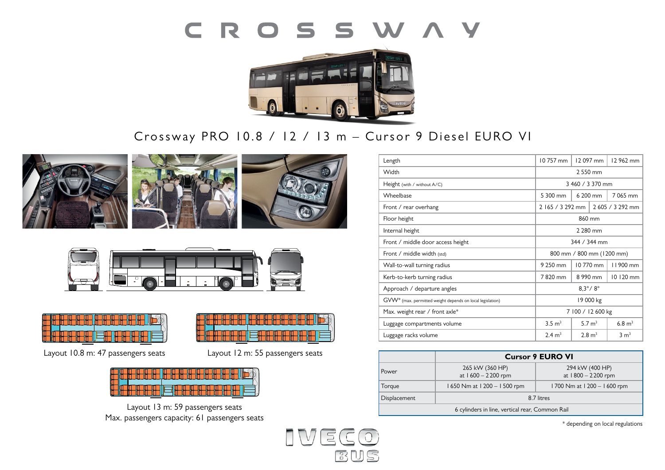# CROSSWAY



# Crossway PRO 10.8 / 12 / 13 m – Cursor 9 Diesel EURO VI











Layout 10.8 m: 47 passengers seats Layout 12 m: 55 passengers seats

**Layout: 1** 59 places **1**  $\overline{1}$ 



Layout 13 m: 59 passengers seats Max. passengers capacity: 61 passengers seats



|                                                 | <b>Cursor 9 EURO VI</b>               |                                       |
|-------------------------------------------------|---------------------------------------|---------------------------------------|
| Power                                           | 265 kW (360 HP)<br>at 1600 - 2200 rpm | 294 kW (400 HP)<br>at 1800 - 2200 rpm |
| Torque                                          | 1650 Nm at 1200 - 1500 rpm            | 1700 Nm at 1200 - 1600 rpm            |
| Displacement                                    | 8.7 litres                            |                                       |
| 6 cylinders in line, vertical rear, Common Rail |                                       |                                       |

\* depending on local regulations